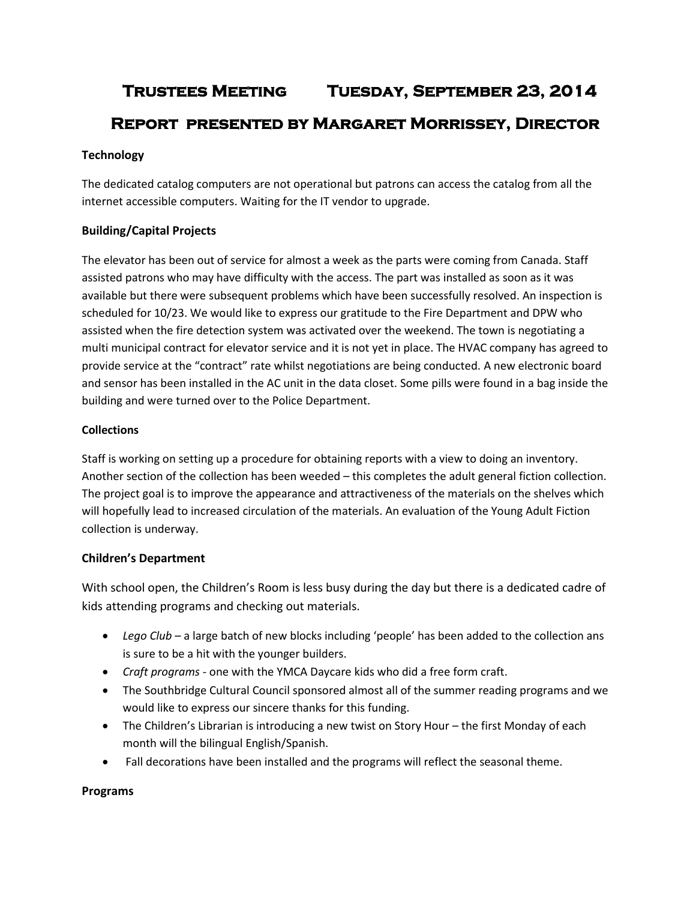# **Trustees Meeting Tuesday, September 23, 2014 Report presented by Margaret Morrissey, Director**

# **Technology**

The dedicated catalog computers are not operational but patrons can access the catalog from all the internet accessible computers. Waiting for the IT vendor to upgrade.

# **Building/Capital Projects**

The elevator has been out of service for almost a week as the parts were coming from Canada. Staff assisted patrons who may have difficulty with the access. The part was installed as soon as it was available but there were subsequent problems which have been successfully resolved. An inspection is scheduled for 10/23. We would like to express our gratitude to the Fire Department and DPW who assisted when the fire detection system was activated over the weekend. The town is negotiating a multi municipal contract for elevator service and it is not yet in place. The HVAC company has agreed to provide service at the "contract" rate whilst negotiations are being conducted. A new electronic board and sensor has been installed in the AC unit in the data closet. Some pills were found in a bag inside the building and were turned over to the Police Department.

## **Collections**

Staff is working on setting up a procedure for obtaining reports with a view to doing an inventory. Another section of the collection has been weeded – this completes the adult general fiction collection. The project goal is to improve the appearance and attractiveness of the materials on the shelves which will hopefully lead to increased circulation of the materials. An evaluation of the Young Adult Fiction collection is underway.

## **Children's Department**

With school open, the Children's Room is less busy during the day but there is a dedicated cadre of kids attending programs and checking out materials.

- *Lego Club* a large batch of new blocks including 'people' has been added to the collection ans is sure to be a hit with the younger builders.
- *Craft programs* one with the YMCA Daycare kids who did a free form craft.
- The Southbridge Cultural Council sponsored almost all of the summer reading programs and we would like to express our sincere thanks for this funding.
- The Children's Librarian is introducing a new twist on Story Hour the first Monday of each month will the bilingual English/Spanish.
- Fall decorations have been installed and the programs will reflect the seasonal theme.

## **Programs**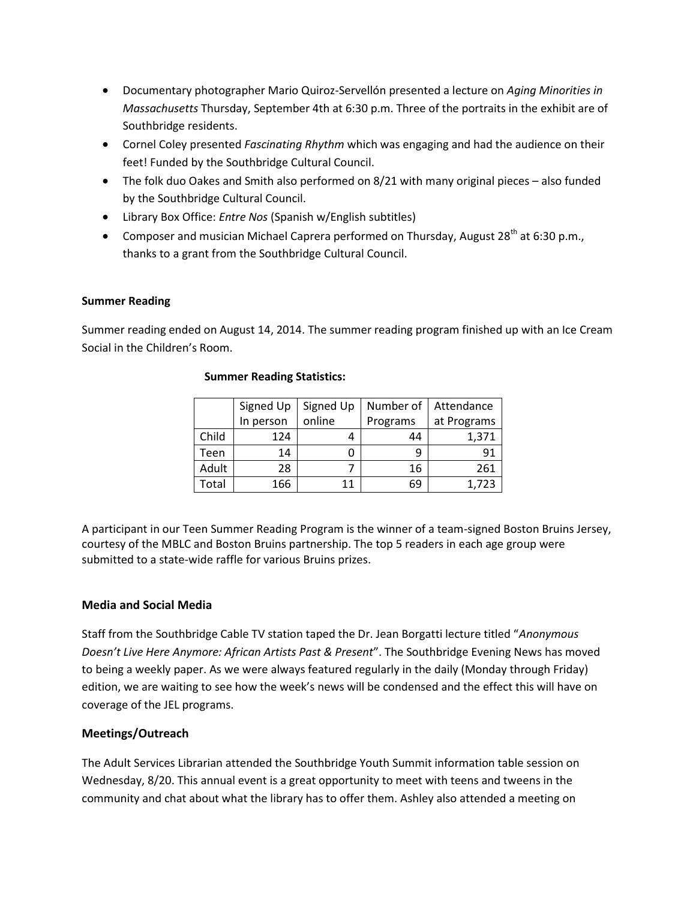- Documentary photographer Mario Quiroz-Servellón presented a lecture on *Aging Minorities in Massachusetts* Thursday, September 4th at 6:30 p.m. Three of the portraits in the exhibit are of Southbridge residents.
- Cornel Coley presented *Fascinating Rhythm* which was engaging and had the audience on their feet! Funded by the Southbridge Cultural Council.
- The folk duo Oakes and Smith also performed on 8/21 with many original pieces also funded by the Southbridge Cultural Council.
- Library Box Office: *Entre Nos* (Spanish w/English subtitles)
- Composer and musician Michael Caprera performed on Thursday, August  $28^{th}$  at 6:30 p.m., thanks to a grant from the Southbridge Cultural Council.

## **Summer Reading**

Summer reading ended on August 14, 2014. The summer reading program finished up with an Ice Cream Social in the Children's Room.

|       | Signed Up | Signed Up | Number of | Attendance  |
|-------|-----------|-----------|-----------|-------------|
|       | In person | online    | Programs  | at Programs |
| Child | 124       |           | 44        | 1,371       |
| Teen  | 14        |           | q         | 91          |
| Adult | 28        |           | 16        | 261         |
| Total | 166       | 11        | 69        | 1,723       |

#### **Summer Reading Statistics:**

A participant in our Teen Summer Reading Program is the winner of a team-signed Boston Bruins Jersey, courtesy of the MBLC and Boston Bruins partnership. The top 5 readers in each age group were submitted to a state-wide raffle for various Bruins prizes.

## **Media and Social Media**

Staff from the Southbridge Cable TV station taped the Dr. Jean Borgatti lecture titled "*Anonymous Doesn't Live Here Anymore: African Artists Past & Present*". The Southbridge Evening News has moved to being a weekly paper. As we were always featured regularly in the daily (Monday through Friday) edition, we are waiting to see how the week's news will be condensed and the effect this will have on coverage of the JEL programs.

## **Meetings/Outreach**

The Adult Services Librarian attended the Southbridge Youth Summit information table session on Wednesday, 8/20. This annual event is a great opportunity to meet with teens and tweens in the community and chat about what the library has to offer them. Ashley also attended a meeting on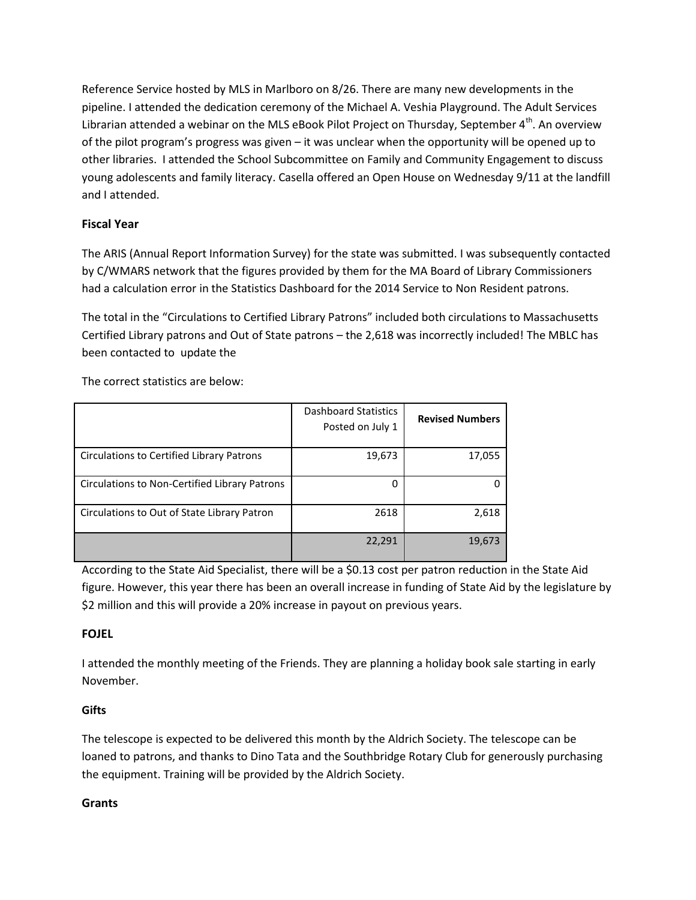Reference Service hosted by MLS in Marlboro on 8/26. There are many new developments in the pipeline. I attended the dedication ceremony of the Michael A. Veshia Playground. The Adult Services Librarian attended a webinar on the MLS eBook Pilot Project on Thursday, September  $4<sup>th</sup>$ . An overview of the pilot program's progress was given – it was unclear when the opportunity will be opened up to other libraries. I attended the School Subcommittee on Family and Community Engagement to discuss young adolescents and family literacy. Casella offered an Open House on Wednesday 9/11 at the landfill and I attended.

# **Fiscal Year**

The ARIS (Annual Report Information Survey) for the state was submitted. I was subsequently contacted by C/WMARS network that the figures provided by them for the MA Board of Library Commissioners had a calculation error in the Statistics Dashboard for the 2014 Service to Non Resident patrons.

The total in the "Circulations to Certified Library Patrons" included both circulations to Massachusetts Certified Library patrons and Out of State patrons – the 2,618 was incorrectly included! The MBLC has been contacted to update the

The correct statistics are below:

|                                               | <b>Dashboard Statistics</b><br>Posted on July 1 | <b>Revised Numbers</b> |
|-----------------------------------------------|-------------------------------------------------|------------------------|
| Circulations to Certified Library Patrons     | 19,673                                          | 17,055                 |
| Circulations to Non-Certified Library Patrons |                                                 |                        |
| Circulations to Out of State Library Patron   | 2618                                            | 2,618                  |
|                                               | 22,291                                          | 19,673                 |

According to the State Aid Specialist, there will be a \$0.13 cost per patron reduction in the State Aid figure. However, this year there has been an overall increase in funding of State Aid by the legislature by \$2 million and this will provide a 20% increase in payout on previous years.

# **FOJEL**

I attended the monthly meeting of the Friends. They are planning a holiday book sale starting in early November.

# **Gifts**

The telescope is expected to be delivered this month by the Aldrich Society. The telescope can be loaned to patrons, and thanks to Dino Tata and the Southbridge Rotary Club for generously purchasing the equipment. Training will be provided by the Aldrich Society.

# **Grants**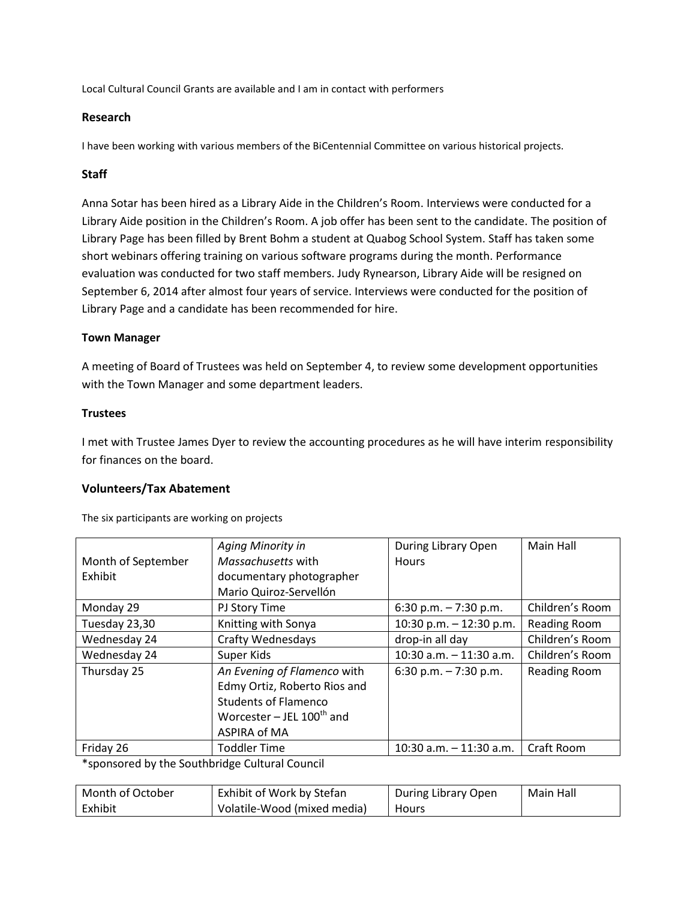Local Cultural Council Grants are available and I am in contact with performers

## **Research**

I have been working with various members of the BiCentennial Committee on various historical projects.

## **Staff**

Anna Sotar has been hired as a Library Aide in the Children's Room. Interviews were conducted for a Library Aide position in the Children's Room. A job offer has been sent to the candidate. The position of Library Page has been filled by Brent Bohm a student at Quabog School System. Staff has taken some short webinars offering training on various software programs during the month. Performance evaluation was conducted for two staff members. Judy Rynearson, Library Aide will be resigned on September 6, 2014 after almost four years of service. Interviews were conducted for the position of Library Page and a candidate has been recommended for hire.

## **Town Manager**

A meeting of Board of Trustees was held on September 4, to review some development opportunities with the Town Manager and some department leaders.

## **Trustees**

I met with Trustee James Dyer to review the accounting procedures as he will have interim responsibility for finances on the board.

## **Volunteers/Tax Abatement**

The six participants are working on projects

|                    | Aging Minority in              | During Library Open       | Main Hall           |
|--------------------|--------------------------------|---------------------------|---------------------|
| Month of September | Massachusetts with             | <b>Hours</b>              |                     |
| Exhibit            | documentary photographer       |                           |                     |
|                    | Mario Quiroz-Servellón         |                           |                     |
| Monday 29          | PJ Story Time                  | 6:30 p.m. $-7:30$ p.m.    | Children's Room     |
| Tuesday 23,30      | Knitting with Sonya            | 10:30 p.m. $-$ 12:30 p.m. | Reading Room        |
| Wednesday 24       | <b>Crafty Wednesdays</b>       | drop-in all day           | Children's Room     |
| Wednesday 24       | Super Kids                     | 10:30 a.m. $-$ 11:30 a.m. | Children's Room     |
| Thursday 25        | An Evening of Flamenco with    | 6:30 p.m. $-7:30$ p.m.    | <b>Reading Room</b> |
|                    | Edmy Ortiz, Roberto Rios and   |                           |                     |
|                    | <b>Students of Flamenco</b>    |                           |                     |
|                    | Worcester – JEL $100^{th}$ and |                           |                     |
|                    | ASPIRA of MA                   |                           |                     |
| Friday 26          | <b>Toddler Time</b>            | 10:30 a.m. $-$ 11:30 a.m. | Craft Room          |

\*sponsored by the Southbridge Cultural Council

| Month of October | Exhibit of Work by Stefan   | During Library Open | Main Hall |
|------------------|-----------------------------|---------------------|-----------|
| Exhibit          | Volatile-Wood (mixed media) | <b>Hours</b>        |           |